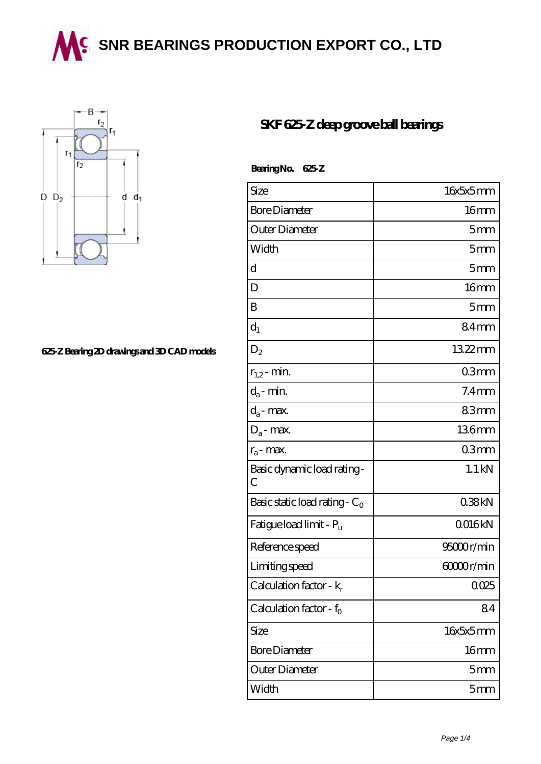**SING BEARINGS PRODUCTION EXPORT CO., LTD** 



## **[625-Z Bearing 2D drawings and 3D CAD models](https://wqgit.com/pic-145249.html)**

## **[SKF 625-Z deep groove ball bearings](https://wqgit.com/at-145249-skf-625-z-deep-groove-ball-bearings.html)**

 **Bearing No. 625-Z**

| Size                                | 16x5x5mm         |
|-------------------------------------|------------------|
| <b>Bore Diameter</b>                | 16 <sub>mm</sub> |
| Outer Diameter                      | 5mm              |
| Width                               | 5mm              |
| d                                   | 5 <sub>mm</sub>  |
| D                                   | 16 <sub>mm</sub> |
| B                                   | 5 <sub>mm</sub>  |
| $d_1$                               | 84mm             |
| $D_2$                               | 1322mm           |
| $r_{1,2}$ - min.                    | 03mm             |
| $d_a$ - min.                        | $7.4 \text{mm}$  |
| $d_a$ - max.                        | 83mm             |
| $D_a$ - max.                        | 136mm            |
| $r_a$ - max.                        | 03mm             |
| Basic dynamic load rating-<br>С     | $1.1$ kN         |
| Basic static load rating - $C_0$    | 038kN            |
| Fatigue load limit - P <sub>u</sub> | Q016kN           |
| Reference speed                     | 95000r/min       |
| Limiting speed                      | 60000r/min       |
| Calculation factor - $k_r$          | 0025             |
| Calculation factor - $f_0$          | 84               |
| Size                                | 16x5x5mm         |
| <b>Bore Diameter</b>                | 16 <sub>mm</sub> |
| Outer Diameter                      | 5 <sub>mm</sub>  |
| Width                               | 5 <sub>mm</sub>  |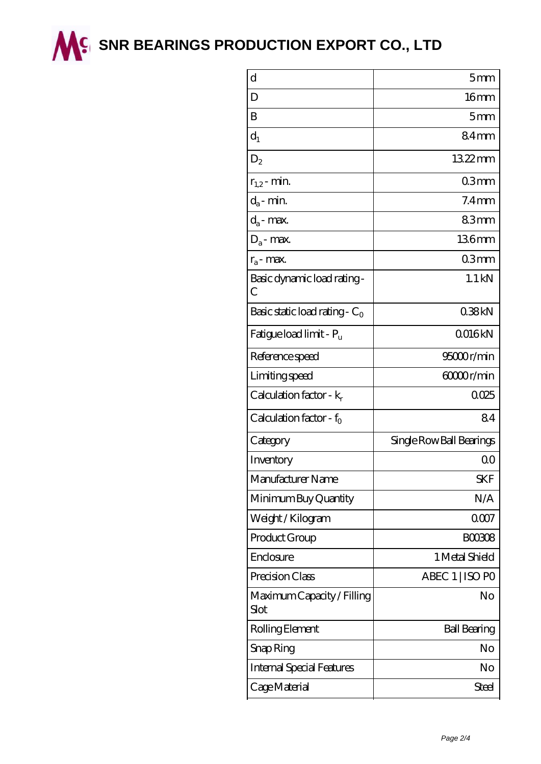

**M<sup>C</sup> [SNR BEARINGS PRODUCTION EXPORT CO., LTD](https://wqgit.com)** 

| d                                   | 5mm                      |
|-------------------------------------|--------------------------|
| D                                   | 16mm                     |
| B                                   | 5 <sub>mm</sub>          |
| $d_1$                               | 84mm                     |
| $D_2$                               | 1322mm                   |
| $r_{1,2}$ - min.                    | 03mm                     |
| $d_a$ - min.                        | $7.4$ mm                 |
| $d_a$ - max.                        | 83mm                     |
| $D_a$ - max.                        | 136mm                    |
| $r_a$ - max.                        | 03mm                     |
| Basic dynamic load rating -<br>C    | $1.1$ kN                 |
| Basic static load rating - $C_0$    | 038kN                    |
| Fatigue load limit - P <sub>u</sub> | Q016kN                   |
| Reference speed                     | 95000r/min               |
| Limiting speed                      | 60000r/min               |
| Calculation factor - $k_r$          | 0025                     |
| Calculation factor - $f_0$          | 84                       |
| Category                            | Single Row Ball Bearings |
| Inventory                           | 0 <sup>0</sup>           |
| Manufacturer Name                   | <b>SKF</b>               |
| Minimum Buy Quantity                | N/A                      |
| Weight/Kilogram                     | 0007                     |
| Product Group                       | <b>BOO308</b>            |
| Enclosure                           | 1 Metal Shield           |
| Precision Class                     | ABEC 1   ISO PO          |
| Maximum Capacity / Filling<br>Slot  | No                       |
| Rolling Element                     | <b>Ball Bearing</b>      |
| Snap Ring                           | No                       |
| <b>Internal Special Features</b>    | No                       |
| Cage Material                       | <b>Steel</b>             |
|                                     |                          |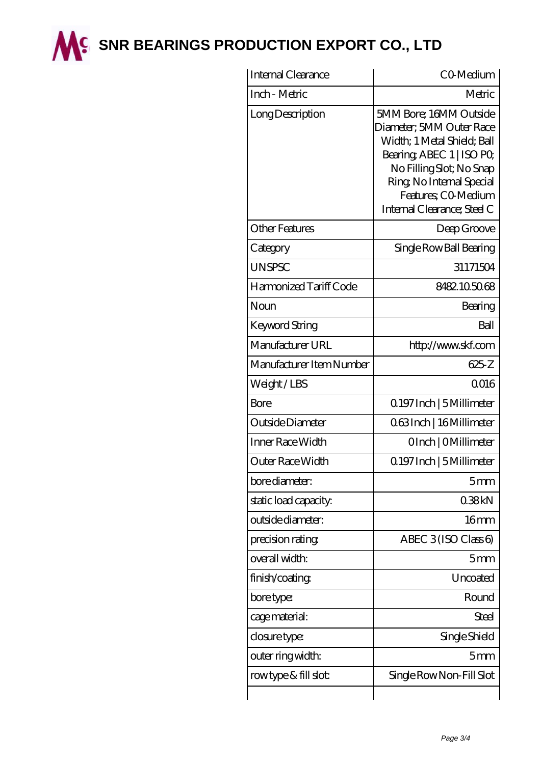

**M<sup>C</sup> [SNR BEARINGS PRODUCTION EXPORT CO., LTD](https://wqgit.com)** 

| Internal Clearance       | CO-Medium                                                                                                                                                                                                                     |
|--------------------------|-------------------------------------------------------------------------------------------------------------------------------------------------------------------------------------------------------------------------------|
| Inch - Metric            | Metric                                                                                                                                                                                                                        |
| Long Description         | 5MM Bore; 16MM Outside<br>Diameter; 5MM Outer Race<br>Width; 1 Metal Shield; Ball<br>Bearing, ABEC 1   ISO PO,<br>No Filling Slot; No Snap<br>Ring, No Internal Special<br>Features; CO Medium<br>Internal Clearance; Steel C |
| Other Features           | Deep Groove                                                                                                                                                                                                                   |
| Category                 | Single Row Ball Bearing                                                                                                                                                                                                       |
| <b>UNSPSC</b>            | 31171504                                                                                                                                                                                                                      |
| Harmonized Tariff Code   | 8482105068                                                                                                                                                                                                                    |
| Noun                     | Bearing                                                                                                                                                                                                                       |
| Keyword String           | Ball                                                                                                                                                                                                                          |
| Manufacturer URL         | http://www.skf.com                                                                                                                                                                                                            |
| Manufacturer Item Number | 625Z                                                                                                                                                                                                                          |
| Weight/LBS               | 0016                                                                                                                                                                                                                          |
| Bore                     | 0.197 Inch   5 Millimeter                                                                                                                                                                                                     |
| Outside Diameter         | 063Inch   16 Millimeter                                                                                                                                                                                                       |
| Inner Race Width         | OInch   OMillimeter                                                                                                                                                                                                           |
| Outer Race Width         | Q 197 Inch   5 Millimeter                                                                                                                                                                                                     |
| bore diameter:           | 5mm                                                                                                                                                                                                                           |
| static load capacity.    | 038kN                                                                                                                                                                                                                         |
| outside diameter:        | 16 <sub>mm</sub>                                                                                                                                                                                                              |
| precision rating         | ABEC $3$ (ISO Class 6)                                                                                                                                                                                                        |
| overall width:           | 5mm                                                                                                                                                                                                                           |
| finish/coating           | Uncoated                                                                                                                                                                                                                      |
| bore type:               | Round                                                                                                                                                                                                                         |
| cage material:           | Steel                                                                                                                                                                                                                         |
| closure type:            | Single Shield                                                                                                                                                                                                                 |
| outer ring width:        | 5 <sub>mm</sub>                                                                                                                                                                                                               |
| rowtype & fill slot:     | Single Row Non-Fill Slot                                                                                                                                                                                                      |
|                          |                                                                                                                                                                                                                               |